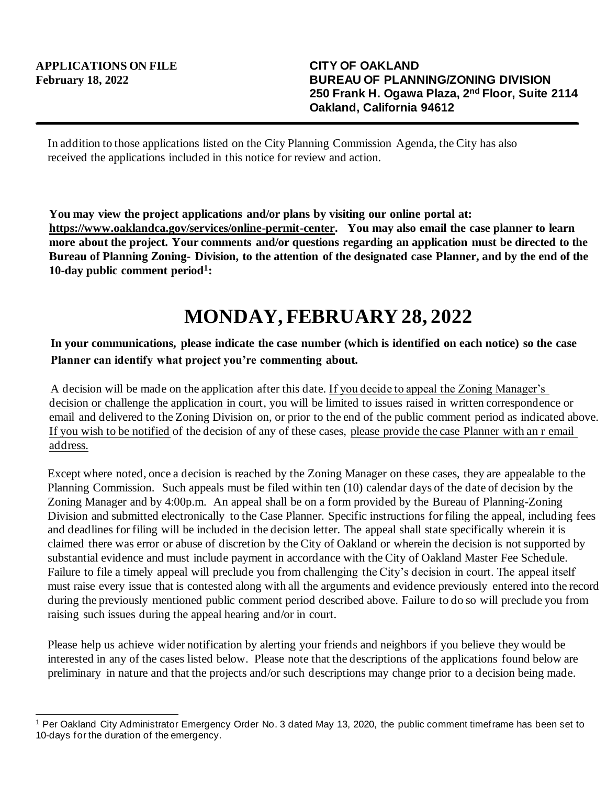In addition to those applications listed on the City Planning Commission Agenda, the City has also received the applications included in this notice for review and action.

**You may view the project applications and/or plans by visiting our online portal at: https://www.oaklandca.gov/services/online-permit-center. You may also email the case planner to learn more about the project. Your comments and/or questions regarding an application must be directed to the Bureau of Planning Zoning- Division, to the attention of the designated case Planner, and by the end of the 10-day public comment period<sup>1</sup> :**

## **MONDAY, FEBRUARY 28, 2022**

## **In your communications, please indicate the case number (which is identified on each notice) so the case Planner can identify what project you're commenting about.**

A decision will be made on the application after this date. If you decide to appeal the Zoning Manager's decision or challenge the application in court, you will be limited to issues raised in written correspondence or email and delivered to the Zoning Division on, or prior to the end of the public comment period as indicated above. If you wish to be notified of the decision of any of these cases, please provide the case Planner with an r email address.

Except where noted, once a decision is reached by the Zoning Manager on these cases, they are appealable to the Planning Commission. Such appeals must be filed within ten (10) calendar days of the date of decision by the Zoning Manager and by 4:00p.m. An appeal shall be on a form provided by the Bureau of Planning-Zoning Division and submitted electronically to the Case Planner. Specific instructions for filing the appeal, including fees and deadlines for filing will be included in the decision letter. The appeal shall state specifically wherein it is claimed there was error or abuse of discretion by the City of Oakland or wherein the decision is not supported by substantial evidence and must include payment in accordance with the City of Oakland Master Fee Schedule. Failure to file a timely appeal will preclude you from challenging the City's decision in court. The appeal itself must raise every issue that is contested along with all the arguments and evidence previously entered into the record during the previously mentioned public comment period described above. Failure to do so will preclude you from raising such issues during the appeal hearing and/or in court.

Please help us achieve wider notification by alerting your friends and neighbors if you believe they would be interested in any of the cases listed below. Please note that the descriptions of the applications found below are preliminary in nature and that the projects and/or such descriptions may change prior to a decision being made.

<sup>1</sup> Per Oakland City Administrator Emergency Order No. 3 dated May 13, 2020, the public comment timeframe has been set to 10-days for the duration of the emergency.